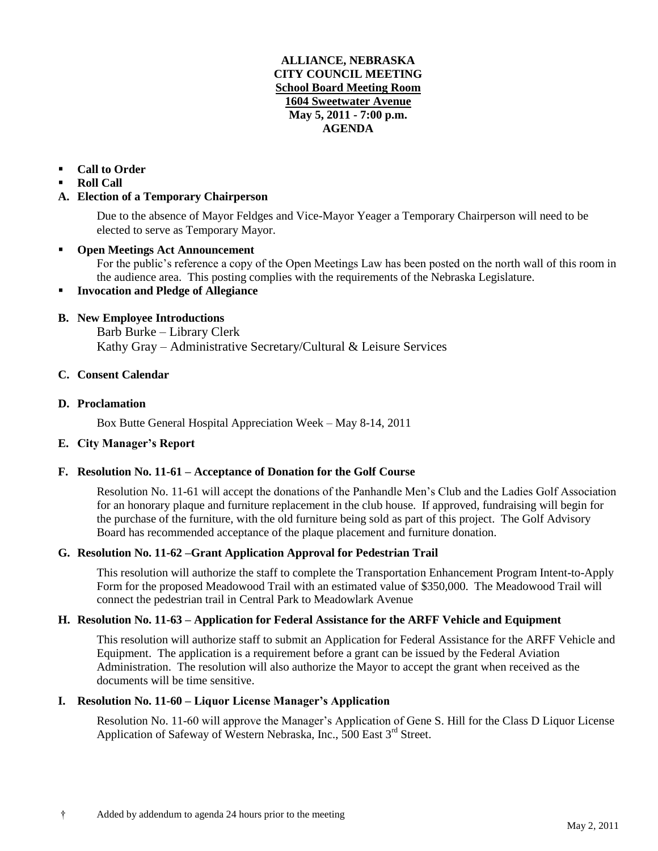### **ALLIANCE, NEBRASKA CITY COUNCIL MEETING School Board Meeting Room 1604 Sweetwater Avenue May 5, 2011 - 7:00 p.m. AGENDA**

# **Call to Order**

**Roll Call** 

### **A. Election of a Temporary Chairperson**

Due to the absence of Mayor Feldges and Vice-Mayor Yeager a Temporary Chairperson will need to be elected to serve as Temporary Mayor.

### **Open Meetings Act Announcement**

For the public's reference a copy of the Open Meetings Law has been posted on the north wall of this room in the audience area. This posting complies with the requirements of the Nebraska Legislature.

### **Invocation and Pledge of Allegiance**

# **B. New Employee Introductions**

Barb Burke – Library Clerk Kathy Gray – Administrative Secretary/Cultural & Leisure Services

### **C. Consent Calendar**

#### **D. Proclamation**

Box Butte General Hospital Appreciation Week – May 8-14, 2011

### **E. City Manager's Report**

### **F. Resolution No. 11-61 – Acceptance of Donation for the Golf Course**

Resolution No. 11-61 will accept the donations of the Panhandle Men's Club and the Ladies Golf Association for an honorary plaque and furniture replacement in the club house. If approved, fundraising will begin for the purchase of the furniture, with the old furniture being sold as part of this project. The Golf Advisory Board has recommended acceptance of the plaque placement and furniture donation.

### **G. Resolution No. 11-62 –Grant Application Approval for Pedestrian Trail**

This resolution will authorize the staff to complete the Transportation Enhancement Program Intent-to-Apply Form for the proposed Meadowood Trail with an estimated value of \$350,000. The Meadowood Trail will connect the pedestrian trail in Central Park to Meadowlark Avenue

# **H. Resolution No. 11-63 – Application for Federal Assistance for the ARFF Vehicle and Equipment**

This resolution will authorize staff to submit an Application for Federal Assistance for the ARFF Vehicle and Equipment. The application is a requirement before a grant can be issued by the Federal Aviation Administration. The resolution will also authorize the Mayor to accept the grant when received as the documents will be time sensitive.

### **I. Resolution No. 11-60 – Liquor License Manager's Application**

Resolution No. 11-60 will approve the Manager's Application of Gene S. Hill for the Class D Liquor License Application of Safeway of Western Nebraska, Inc., 500 East 3<sup>rd</sup> Street.